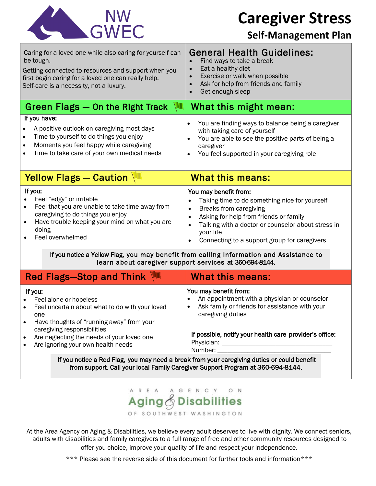

**Caregiver Stress**

### **Self-Management Plan**

| <b>General Health Guidelines:</b><br>Find ways to take a break<br>Eat a healthy diet<br>$\bullet$<br>Exercise or walk when possible<br>$\bullet$<br>Ask for help from friends and family<br>$\bullet$<br>Get enough sleep<br>$\bullet$                                                                                                                                                                                    |  |  |  |
|---------------------------------------------------------------------------------------------------------------------------------------------------------------------------------------------------------------------------------------------------------------------------------------------------------------------------------------------------------------------------------------------------------------------------|--|--|--|
| W<br>What this might mean:                                                                                                                                                                                                                                                                                                                                                                                                |  |  |  |
| You are finding ways to balance being a caregiver<br>$\bullet$<br>with taking care of yourself<br>You are able to see the positive parts of being a<br>caregiver<br>You feel supported in your caregiving role<br>$\bullet$                                                                                                                                                                                               |  |  |  |
| <b>What this means:</b>                                                                                                                                                                                                                                                                                                                                                                                                   |  |  |  |
| You may benefit from:<br>Taking time to do something nice for yourself<br>$\bullet$<br>Breaks from caregiving<br>$\bullet$<br>Asking for help from friends or family<br>٠<br>Talking with a doctor or counselor about stress in<br>$\bullet$<br>your life<br>Connecting to a support group for caregivers<br>$\bullet$<br>If you notice a Yellow Flag, you may benefit from calling Information and Assistance to         |  |  |  |
| learn about caregiver support services at 360-694-8144.<br>What this means:                                                                                                                                                                                                                                                                                                                                               |  |  |  |
| You may benefit from;<br>An appointment with a physician or counselor<br>Ask family or friends for assistance with your<br>$\bullet$<br>caregiving duties<br>If possible, notify your health care provider's office:<br>Number: Number:<br>If you notice a Red Flag, you may need a break from your caregiving duties or could benefit<br>from support. Call your local Family Caregiver Support Program at 360-694-8144. |  |  |  |
|                                                                                                                                                                                                                                                                                                                                                                                                                           |  |  |  |

#### E N C Y O N AREA G **Disabilities** Aging

OF SOUTHWEST WASHINGTON

At the Area Agency on Aging & Disabilities, we believe every adult deserves to live with dignity. We connect seniors, adults with disabilities and family caregivers to a full range of free and other community resources designed to offer you choice, improve your quality of life and respect your independence.

\*\*\* Please see the reverse side of this document for further tools and information\*\*\*